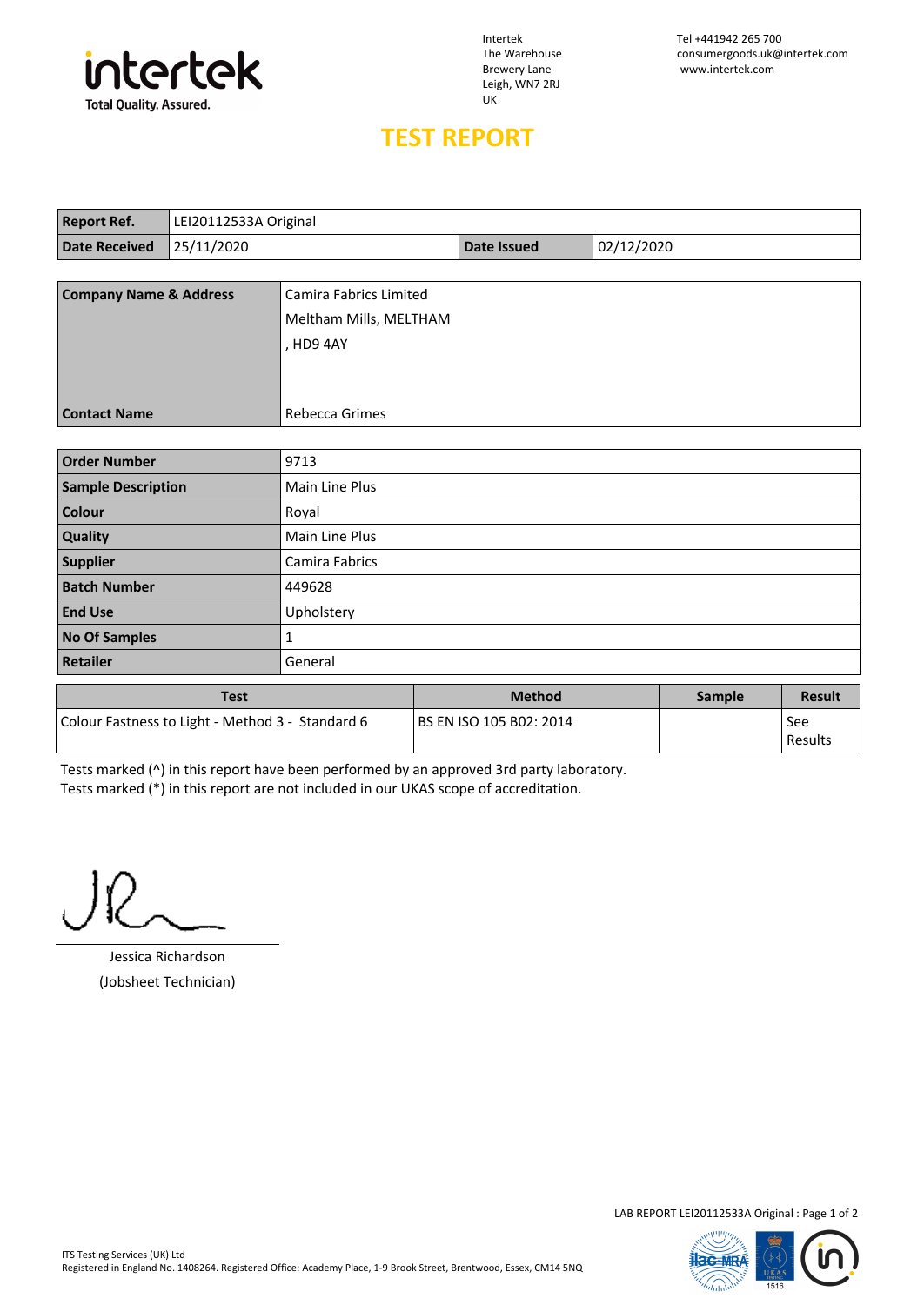

Leigh, WN7 2RJ UK

Intertek Tel +441942 265 700 The Warehouse consumergoods.uk@intertek.com www.intertek.com

## **TEST REPORT**

| <b>Report Ref.</b>                | LEI20112533A Original |                        |             |            |
|-----------------------------------|-----------------------|------------------------|-------------|------------|
| <b>Date Received</b>              | 25/11/2020            |                        | Date Issued | 02/12/2020 |
|                                   |                       |                        |             |            |
| <b>Company Name &amp; Address</b> |                       | Camira Fabrics Limited |             |            |
|                                   |                       | Meltham Mills, MELTHAM |             |            |
|                                   |                       | . HD9 4AY              |             |            |
|                                   |                       |                        |             |            |
|                                   |                       |                        |             |            |
| <b>Contact Name</b>               |                       | <b>Rebecca Grimes</b>  |             |            |
|                                   |                       |                        |             |            |
| <b>Order Number</b>               |                       | 9713                   |             |            |

| <b>Test</b>               |                | <b>Method</b> | Sample | Result |
|---------------------------|----------------|---------------|--------|--------|
| <b>Retailer</b>           | General        |               |        |        |
| <b>No Of Samples</b>      |                |               |        |        |
| <b>End Use</b>            | Upholstery     |               |        |        |
| <b>Batch Number</b>       | 449628         |               |        |        |
| <b>Supplier</b>           | Camira Fabrics |               |        |        |
| Quality                   | Main Line Plus |               |        |        |
| Colour                    | Royal          |               |        |        |
| <b>Sample Description</b> | Main Line Plus |               |        |        |
| <b>Order Number</b>       | 9713           |               |        |        |

| Test                                             | Method                  | Sample | <b>Result</b>    |
|--------------------------------------------------|-------------------------|--------|------------------|
| Colour Fastness to Light - Method 3 - Standard 6 | BS EN ISO 105 B02: 2014 |        | See<br>  Results |

Tests marked (^) in this report have been performed by an approved 3rd party laboratory. Tests marked (\*) in this report are not included in our UKAS scope of accreditation.

Jessica Richardson (Jobsheet Technician)

LAB REPORT LEI20112533A Original : Page 1 of 2